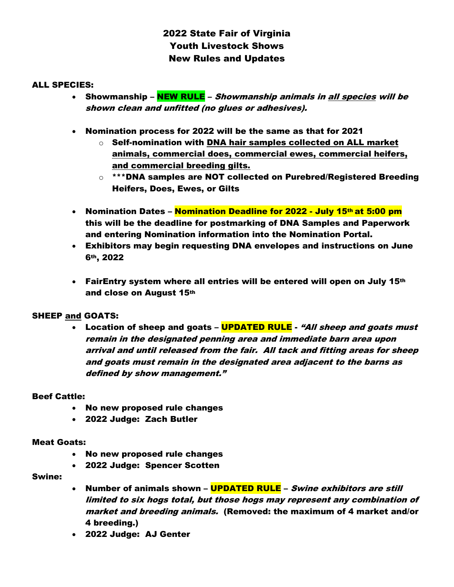# 2022 State Fair of Virginia Youth Livestock Shows New Rules and Updates

## ALL SPECIES:

- Showmanship NEW RULE *Showmanship animals in all species will be* shown clean and unfitted (no glues or adhesives).
- Nomination process for 2022 will be the same as that for 2021
	- $\circ$  Self-nomination with DNA hair samples collected on ALL market animals, commercial does, commercial ewes, commercial heifers, and commercial breeding gilts.
	- $\circ$  \*\*\*DNA samples are NOT collected on Purebred/Registered Breeding Heifers, Does, Ewes, or Gilts
- Nomination Dates Nomination Deadline for 2022 July 15th at 5:00 pm this will be the deadline for postmarking of DNA Samples and Paperwork and entering Nomination information into the Nomination Portal.
- Exhibitors may begin requesting DNA envelopes and instructions on June 6th, 2022
- FairEntry system where all entries will be entered will open on July 15th and close on August 15th

## SHEEP and GOATS:

• Location of sheep and goats – **UPDATED RULE** - "All sheep and goats must remain in the designated penning area and immediate barn area upon arrival and until released from the fair. All tack and fitting areas for sheep and goats must remain in the designated area adjacent to the barns as defined by show management."

## Beef Cattle:

- No new proposed rule changes
- 2022 Judge: Zach Butler

#### Meat Goats:

- No new proposed rule changes
- 2022 Judge: Spencer Scotten

## Swine:

- Number of animals shown **UPDATED RULE** Swine exhibitors are still limited to six hogs total, but those hogs may represent any combination of market and breeding animals. (Removed: the maximum of 4 market and/or 4 breeding.)
- 2022 Judge: AJ Genter